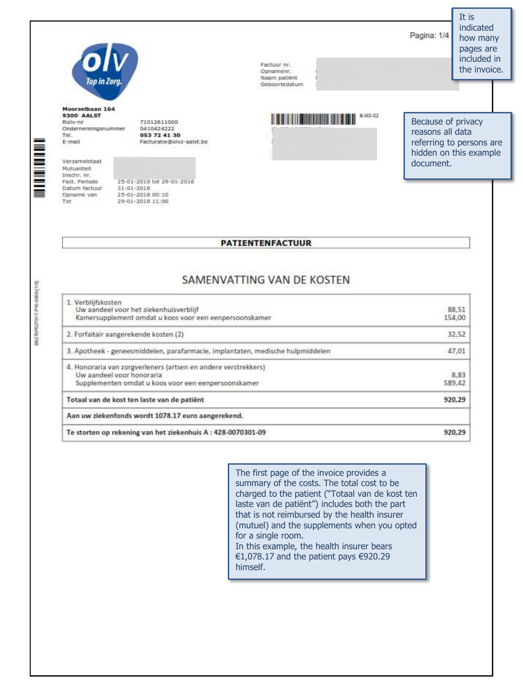Pagina: 1/4



Top in Zora

Moorselbaan 164 **9300 AALST** Riziv-nr Ondernemingsnummer Tel.  $E - m$ all

Verzameistaat Mutualiteit Inschr. nr. Fact, Periode Datum factuur Opname van Tot

053 72 41 30 Facturatie@olvz-aalst.be

71012611000 0410424222

25-01-2016 tot 29-01-2016 31-01-2010 25-01-2010 00:10 29-01-2010 11:00

Factuur nr. Opnamenr. Naam patient Geboortedatum



Because of privacy reasons all data referring to persons are hidden on this example document.

## **PATIENTENFACTUUR**

## SAMENVATTING VAN DE KOSTEN

| 1. Verblijfskosten<br>Uw aandeel voor het ziekenhuisverblijf<br>Kamersupplement omdat u koos voor een eenpersoonskamer                             | 88,51<br>154,00 |
|----------------------------------------------------------------------------------------------------------------------------------------------------|-----------------|
| 2. Forfaitair aangerekende kosten (2)                                                                                                              | 32.52           |
| 3. Apotheek - geneesmiddelen, parafarmacie, implantaten, medische hulpmiddelen                                                                     | 47,01           |
| 4. Honoraria van zorgverleners (artsen en andere verstrekkers)<br>Uw aandeel voor honoraria<br>Supplementen omdat u koos voor een eenpersoonskamer | 8,83<br>589,42  |
| Totaal van de kost ten laste van de patiënt                                                                                                        | 920,29          |
| Aan uw ziekenfonds wordt 1078.17 euro aangerekend.                                                                                                 |                 |
| Te storten op rekening van het ziekenhuis A : 428-0070301-09                                                                                       | 920.29          |

The first page of the invoice provides a summary of the costs. The total cost to be charged to the patient ("Totaal van de kost ten laste van de patiënt") includes both the part that is not reimbursed by the health insurer (mutuel) and the supplements when you opted for a single room. In this example, the health insurer bears €1,078.17 and the patient pays  $€920.29$ himself.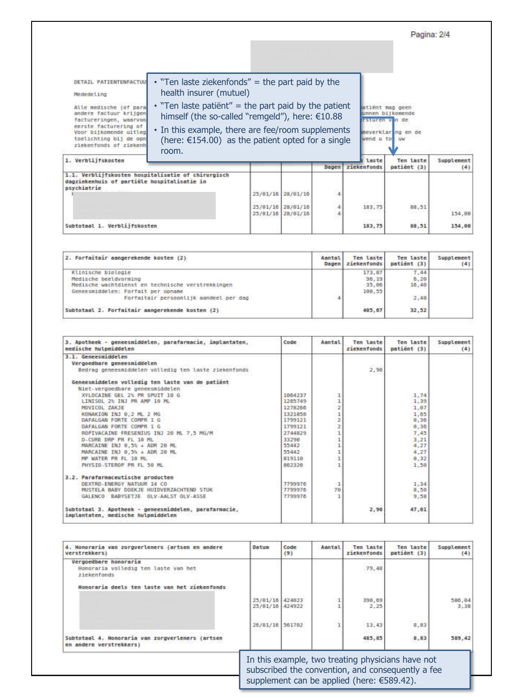atiënt mag geen<br><mark>wnnen bijkomende</mark><br>srsturen v<mark>i</mark>n de

meverklar ng en de

**UM** 

wend u to

DETAIL PATIENTENFACTUU

- Mededeling
- Alle medische (of para<br>andere factuur krijgen factureringen, waarvoo eerste facturering of<br>Voor bijkomende uitleg toelichting bij de opn<br>ziekenfonds of ziekenh
- health insurer (mutuel)  $\cdot$  "Ten laste patiënt" = the part paid by the patient himself (the so-called "remgeld"), here: €10.88

• "Ten laste ziekenfonds" = the part paid by the

• In this example, there are fee/room supplements (here:  $E154.00$ ) as the patient opted for a single room.

|  |                                                             | laste                    | Tem laste<br>patient (3) | Supplement<br>(4) |
|--|-------------------------------------------------------------|--------------------------|--------------------------|-------------------|
|  | Dager                                                       | ziekenfonds              |                          |                   |
|  |                                                             |                          |                          |                   |
|  | 4                                                           |                          |                          |                   |
|  | 4                                                           | <b>DOCTORY</b><br>183,75 | 88,31                    | 154,08            |
|  |                                                             | 183,75                   | 88,51                    | 154,00            |
|  | 25/81/10 28/81/10<br>25/81/16 28/81/16<br>25/91/10 28/01/10 |                          | 전자기                      | <b>SERVICE</b>    |

| 2. Forfaitair aangerekende kosten (2)             | Asntal<br>Dagen | Ten laste<br>ziekenfonds | Tem laste<br>patient (3) | Supplement<br>(4) |
|---------------------------------------------------|-----------------|--------------------------|--------------------------|-------------------|
| Klinische biologie                                |                 | 173.87                   | 7.44                     |                   |
| Medische beeldvorming                             |                 | 90.19                    | 6.20                     |                   |
| Medische wachtdienst en technische verstrekkingen |                 | 35.80                    | 16,48                    |                   |
| Geneesmiddelen: Forfait per obname                |                 | 100,55                   |                          |                   |
| Forfaitair persoonlijk aandeel per dag            | 4               |                          | 2,48                     |                   |
| Subtotaal 2. Forfaitair aangerekende kosten (2)   |                 | 485.67                   | 32.52                    |                   |

| 3. Apotheek - geneesniddelen, parafarmacie, implantaten,<br>medische hulpmiddelen           | Code    | Aantal       | Ten laste<br>zickenfonds | Ten laste<br>patient (3) | Supplement<br>(4) |
|---------------------------------------------------------------------------------------------|---------|--------------|--------------------------|--------------------------|-------------------|
| 3.1. Geneesmiddelen                                                                         |         |              |                          |                          |                   |
| Vergoedbare geneesmiddelen                                                                  |         |              | 24923                    |                          |                   |
| Bedrag geneesmiddelen volledig ten laste ziekenfonds                                        |         |              | 2.98                     |                          |                   |
| Geneesmiddelen volledig ten laste van de patient                                            |         |              |                          |                          |                   |
| Niet-vergoedbare geneesmiddelen                                                             |         |              |                          |                          |                   |
| XYLOCAINE GEL 2% PR SPUIT 10 G                                                              | 1884237 |              |                          | 1.74                     |                   |
| LINISDL 2% INJ PR AMP 10 ML                                                                 | 1285749 | 1            |                          | 1.39                     |                   |
| MOVICOL ZAKJE                                                                               | 1278260 | 2            |                          | 1.07                     |                   |
| KONAKION IN1 0.2 ML 2 MG                                                                    | 1323858 | ı            |                          | 1.05                     |                   |
| DAFALGAN FORTE COMPR 1 G                                                                    | 1799121 | ż            |                          | 0,30                     |                   |
| DAFALGAN FORTE COMPR 1 G                                                                    | 1799121 | ż            |                          | 0.36                     |                   |
| ROPIVACAINE FRESENIUS INJ 20 ML 7.5 MG/M                                                    | 2744829 |              |                          | 7,45                     |                   |
| D-CURE DRP PR FL 10 ML                                                                      | 33298   |              |                          | 3.21                     |                   |
| MARCAINE INJ 6,5% + ADR 28 HL                                                               | 55442   |              |                          | 4,27                     |                   |
| MARCAINE INJ 0, 5% + ADR 20 ML                                                              | 55442   |              |                          | 4,27                     |                   |
| MP WATER PR FL 10 ML                                                                        | 819110  |              |                          | 9.32                     |                   |
| PHYSID-STERDP PR FL 38 ML                                                                   | 862326  |              |                          | 1.36                     |                   |
| 3.2. Parafarmaceutische producten                                                           |         |              |                          |                          |                   |
| DEXTRD-ENERGY NATUUR 14 CD                                                                  | 7799970 | $\mathbf{I}$ |                          | 1.34                     |                   |
| MUSTELA BABY DOEKJE HUIDVERZACHTEND STUK                                                    | 7799976 | 78           |                          | 8,50                     |                   |
| GALENCO BABYSETJE OLV-AALST OLV-ASSE                                                        | 7799970 |              |                          | 9.58                     |                   |
| Subtotaal 3. Apotheek - geneesmiddelen, parafarmacie.<br>implantaten, medische hulpmiddelen |         |              | 2.98                     | 47.01                    |                   |

| 4. Honoraria van zorgverleners (artsen en andere<br>verstrekkers}            | Datum                                                                                                  | Code<br>(9)      | Aantal | Ten laste<br>ziekenfonds                             | Tem laste<br>patient (3) | Supplement<br>(4) |
|------------------------------------------------------------------------------|--------------------------------------------------------------------------------------------------------|------------------|--------|------------------------------------------------------|--------------------------|-------------------|
| Vergoedbare honoraria<br>Honorarin volledig ten laste van het<br>ziekenfonds |                                                                                                        |                  |        | 79.48                                                |                          |                   |
| Honoraria deels ten laste van het ziekenfonds.                               |                                                                                                        |                  |        |                                                      |                          |                   |
|                                                                              | 25/81/16<br>25/81/16                                                                                   | 424823<br>424922 |        | 398,09<br>2.25                                       |                          | 586.64<br>3,38    |
|                                                                              | 26/81/16                                                                                               | 561782           |        | 13.43                                                | 8,83                     |                   |
| Subtotaal 4. Honoraria van zorgverleners (artsen<br>en andere verstrekkers)  |                                                                                                        |                  |        | 485,85                                               | B, B3                    | 389,42            |
|                                                                              |                                                                                                        |                  |        |                                                      |                          |                   |
|                                                                              | In this example, two treating physicians have not<br>subscribed the convention, and consequently a fee |                  |        |                                                      |                          |                   |
|                                                                              |                                                                                                        |                  |        | supplement can be applied (here: $\epsilon$ 589.42). |                          |                   |